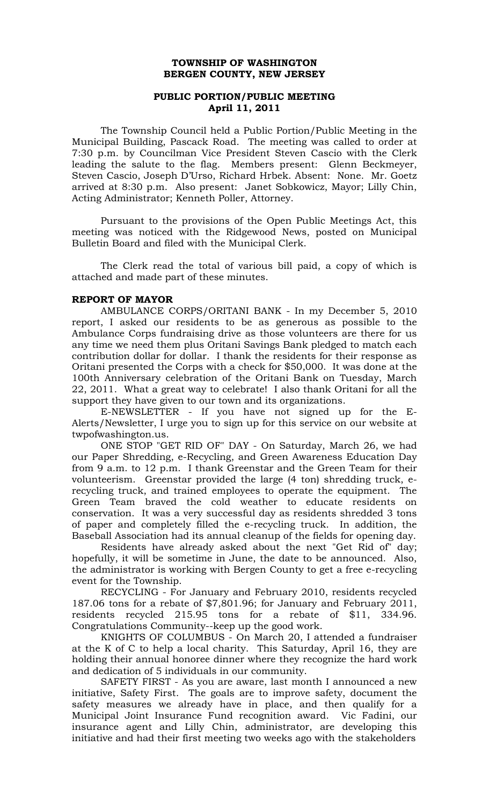# **TOWNSHIP OF WASHINGTON BERGEN COUNTY, NEW JERSEY**

# **PUBLIC PORTION/PUBLIC MEETING April 11, 2011**

The Township Council held a Public Portion/Public Meeting in the Municipal Building, Pascack Road. The meeting was called to order at 7:30 p.m. by Councilman Vice President Steven Cascio with the Clerk leading the salute to the flag. Members present: Glenn Beckmeyer, Steven Cascio, Joseph D'Urso, Richard Hrbek. Absent: None. Mr. Goetz arrived at 8:30 p.m. Also present: Janet Sobkowicz, Mayor; Lilly Chin, Acting Administrator; Kenneth Poller, Attorney.

Pursuant to the provisions of the Open Public Meetings Act, this meeting was noticed with the Ridgewood News, posted on Municipal Bulletin Board and filed with the Municipal Clerk.

The Clerk read the total of various bill paid, a copy of which is attached and made part of these minutes.

## **REPORT OF MAYOR**

AMBULANCE CORPS/ORITANI BANK - In my December 5, 2010 report, I asked our residents to be as generous as possible to the Ambulance Corps fundraising drive as those volunteers are there for us any time we need them plus Oritani Savings Bank pledged to match each contribution dollar for dollar. I thank the residents for their response as Oritani presented the Corps with a check for \$50,000. It was done at the 100th Anniversary celebration of the Oritani Bank on Tuesday, March 22, 2011. What a great way to celebrate! I also thank Oritani for all the support they have given to our town and its organizations.

E-NEWSLETTER - If you have not signed up for the E-Alerts/Newsletter, I urge you to sign up for this service on our website at twpofwashington.us.

ONE STOP "GET RID OF" DAY - On Saturday, March 26, we had our Paper Shredding, e-Recycling, and Green Awareness Education Day from 9 a.m. to 12 p.m. I thank Greenstar and the Green Team for their volunteerism. Greenstar provided the large (4 ton) shredding truck, erecycling truck, and trained employees to operate the equipment. The Green Team braved the cold weather to educate residents on conservation. It was a very successful day as residents shredded 3 tons of paper and completely filled the e-recycling truck. In addition, the Baseball Association had its annual cleanup of the fields for opening day.

Residents have already asked about the next "Get Rid of" day; hopefully, it will be sometime in June, the date to be announced. Also, the administrator is working with Bergen County to get a free e-recycling event for the Township.

RECYCLING - For January and February 2010, residents recycled 187.06 tons for a rebate of \$7,801.96; for January and February 2011, residents recycled 215.95 tons for a rebate of \$11, 334.96. Congratulations Community--keep up the good work.

KNIGHTS OF COLUMBUS - On March 20, I attended a fundraiser at the K of C to help a local charity. This Saturday, April 16, they are holding their annual honoree dinner where they recognize the hard work and dedication of 5 individuals in our community.

SAFETY FIRST - As you are aware, last month I announced a new initiative, Safety First. The goals are to improve safety, document the safety measures we already have in place, and then qualify for a Municipal Joint Insurance Fund recognition award. Vic Fadini, our insurance agent and Lilly Chin, administrator, are developing this initiative and had their first meeting two weeks ago with the stakeholders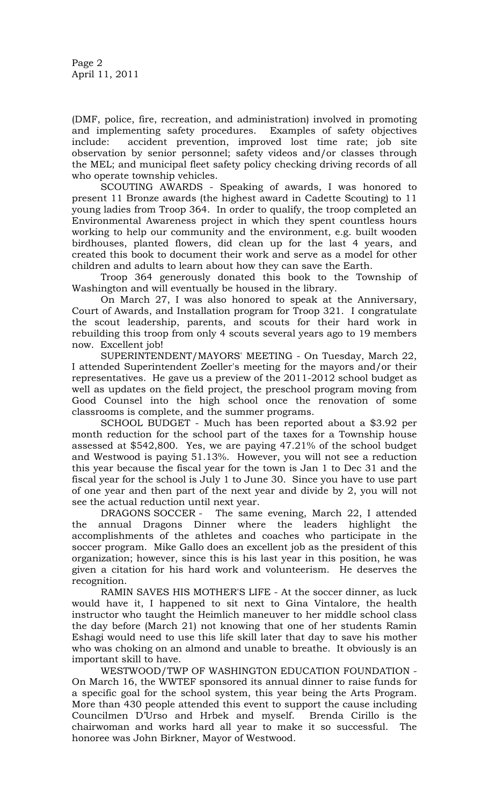(DMF, police, fire, recreation, and administration) involved in promoting and implementing safety procedures. Examples of safety objectives include: accident prevention, improved lost time rate; job site observation by senior personnel; safety videos and/or classes through the MEL; and municipal fleet safety policy checking driving records of all who operate township vehicles.

SCOUTING AWARDS - Speaking of awards, I was honored to present 11 Bronze awards (the highest award in Cadette Scouting) to 11 young ladies from Troop 364. In order to qualify, the troop completed an Environmental Awareness project in which they spent countless hours working to help our community and the environment, e.g. built wooden birdhouses, planted flowers, did clean up for the last 4 years, and created this book to document their work and serve as a model for other children and adults to learn about how they can save the Earth.

Troop 364 generously donated this book to the Township of Washington and will eventually be housed in the library.

On March 27, I was also honored to speak at the Anniversary, Court of Awards, and Installation program for Troop 321. I congratulate the scout leadership, parents, and scouts for their hard work in rebuilding this troop from only 4 scouts several years ago to 19 members now. Excellent job!

SUPERINTENDENT/MAYORS' MEETING - On Tuesday, March 22, I attended Superintendent Zoeller's meeting for the mayors and/or their representatives. He gave us a preview of the 2011-2012 school budget as well as updates on the field project, the preschool program moving from Good Counsel into the high school once the renovation of some classrooms is complete, and the summer programs.

SCHOOL BUDGET - Much has been reported about a \$3.92 per month reduction for the school part of the taxes for a Township house assessed at \$542,800. Yes, we are paying 47.21% of the school budget and Westwood is paying 51.13%. However, you will not see a reduction this year because the fiscal year for the town is Jan 1 to Dec 31 and the fiscal year for the school is July 1 to June 30. Since you have to use part of one year and then part of the next year and divide by 2, you will not see the actual reduction until next year.

DRAGONS SOCCER - The same evening, March 22, I attended the annual Dragons Dinner where the leaders highlight the accomplishments of the athletes and coaches who participate in the soccer program. Mike Gallo does an excellent job as the president of this organization; however, since this is his last year in this position, he was given a citation for his hard work and volunteerism. He deserves the recognition.

RAMIN SAVES HIS MOTHER'S LIFE - At the soccer dinner, as luck would have it, I happened to sit next to Gina Vintalore, the health instructor who taught the Heimlich maneuver to her middle school class the day before (March 21) not knowing that one of her students Ramin Eshagi would need to use this life skill later that day to save his mother who was choking on an almond and unable to breathe. It obviously is an important skill to have.

WESTWOOD/TWP OF WASHINGTON EDUCATION FOUNDATION - On March 16, the WWTEF sponsored its annual dinner to raise funds for a specific goal for the school system, this year being the Arts Program. More than 430 people attended this event to support the cause including Councilmen D'Urso and Hrbek and myself. Brenda Cirillo is the chairwoman and works hard all year to make it so successful. The honoree was John Birkner, Mayor of Westwood.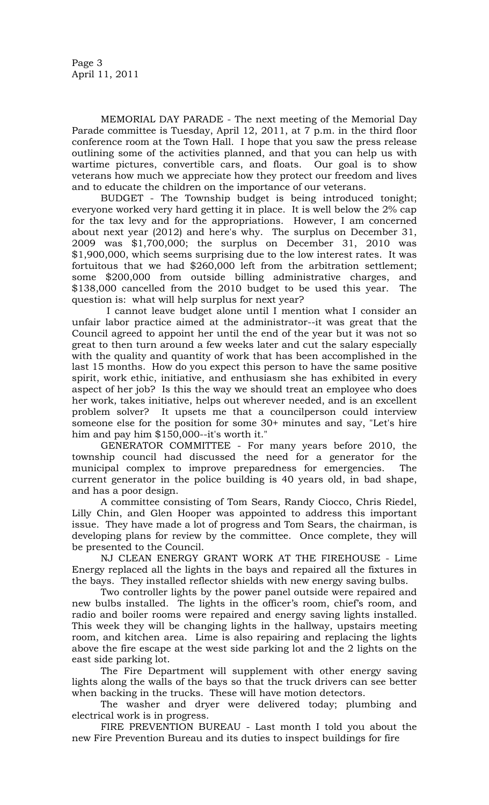MEMORIAL DAY PARADE - The next meeting of the Memorial Day Parade committee is Tuesday, April 12, 2011, at 7 p.m. in the third floor conference room at the Town Hall. I hope that you saw the press release outlining some of the activities planned, and that you can help us with wartime pictures, convertible cars, and floats. Our goal is to show veterans how much we appreciate how they protect our freedom and lives and to educate the children on the importance of our veterans.

BUDGET - The Township budget is being introduced tonight; everyone worked very hard getting it in place. It is well below the 2% cap for the tax levy and for the appropriations. However, I am concerned about next year (2012) and here's why. The surplus on December 31, 2009 was \$1,700,000; the surplus on December 31, 2010 was \$1,900,000, which seems surprising due to the low interest rates. It was fortuitous that we had \$260,000 left from the arbitration settlement; some \$200,000 from outside billing administrative charges, and \$138,000 cancelled from the 2010 budget to be used this year. The question is: what will help surplus for next year?

 I cannot leave budget alone until I mention what I consider an unfair labor practice aimed at the administrator--it was great that the Council agreed to appoint her until the end of the year but it was not so great to then turn around a few weeks later and cut the salary especially with the quality and quantity of work that has been accomplished in the last 15 months. How do you expect this person to have the same positive spirit, work ethic, initiative, and enthusiasm she has exhibited in every aspect of her job? Is this the way we should treat an employee who does her work, takes initiative, helps out wherever needed, and is an excellent problem solver? It upsets me that a councilperson could interview someone else for the position for some 30+ minutes and say, "Let's hire him and pay him \$150,000--it's worth it."

GENERATOR COMMITTEE - For many years before 2010, the township council had discussed the need for a generator for the municipal complex to improve preparedness for emergencies. The current generator in the police building is 40 years old, in bad shape, and has a poor design.

A committee consisting of Tom Sears, Randy Ciocco, Chris Riedel, Lilly Chin, and Glen Hooper was appointed to address this important issue. They have made a lot of progress and Tom Sears, the chairman, is developing plans for review by the committee. Once complete, they will be presented to the Council.

NJ CLEAN ENERGY GRANT WORK AT THE FIREHOUSE - Lime Energy replaced all the lights in the bays and repaired all the fixtures in the bays. They installed reflector shields with new energy saving bulbs.

Two controller lights by the power panel outside were repaired and new bulbs installed. The lights in the officer's room, chief's room, and radio and boiler rooms were repaired and energy saving lights installed. This week they will be changing lights in the hallway, upstairs meeting room, and kitchen area. Lime is also repairing and replacing the lights above the fire escape at the west side parking lot and the 2 lights on the east side parking lot.

The Fire Department will supplement with other energy saving lights along the walls of the bays so that the truck drivers can see better when backing in the trucks. These will have motion detectors.

The washer and dryer were delivered today; plumbing and electrical work is in progress.

FIRE PREVENTION BUREAU - Last month I told you about the new Fire Prevention Bureau and its duties to inspect buildings for fire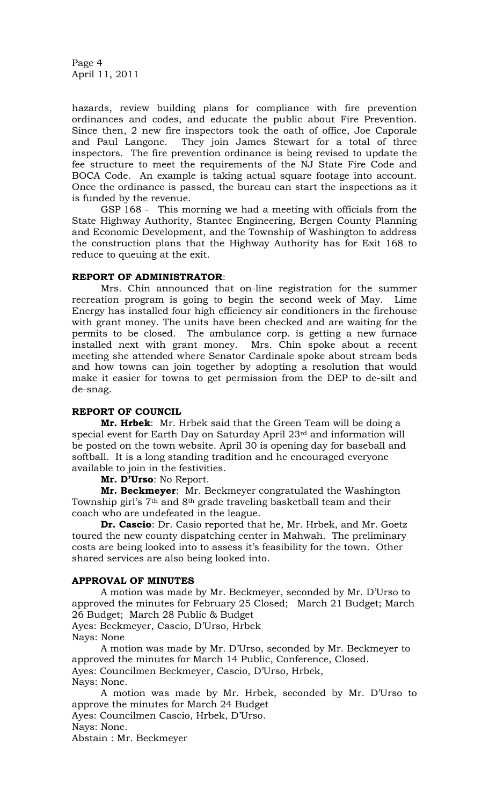Page 4 April 11, 2011

hazards, review building plans for compliance with fire prevention ordinances and codes, and educate the public about Fire Prevention. Since then, 2 new fire inspectors took the oath of office, Joe Caporale and Paul Langone. They join James Stewart for a total of three inspectors. The fire prevention ordinance is being revised to update the fee structure to meet the requirements of the NJ State Fire Code and BOCA Code. An example is taking actual square footage into account. Once the ordinance is passed, the bureau can start the inspections as it is funded by the revenue.

GSP 168 - This morning we had a meeting with officials from the State Highway Authority, Stantec Engineering, Bergen County Planning and Economic Development, and the Township of Washington to address the construction plans that the Highway Authority has for Exit 168 to reduce to queuing at the exit.

## **REPORT OF ADMINISTRATOR**:

Mrs. Chin announced that on-line registration for the summer recreation program is going to begin the second week of May. Lime Energy has installed four high efficiency air conditioners in the firehouse with grant money. The units have been checked and are waiting for the permits to be closed. The ambulance corp. is getting a new furnace installed next with grant money. Mrs. Chin spoke about a recent meeting she attended where Senator Cardinale spoke about stream beds and how towns can join together by adopting a resolution that would make it easier for towns to get permission from the DEP to de-silt and de-snag.

# **REPORT OF COUNCIL**

**Mr. Hrbek**: Mr. Hrbek said that the Green Team will be doing a special event for Earth Day on Saturday April 23rd and information will be posted on the town website. April 30 is opening day for baseball and softball. It is a long standing tradition and he encouraged everyone available to join in the festivities.

**Mr. D'Urso**: No Report.

**Mr. Beckmeyer**: Mr. Beckmeyer congratulated the Washington Township girl's 7th and 8th grade traveling basketball team and their coach who are undefeated in the league.

**Dr. Cascio**: Dr. Casio reported that he, Mr. Hrbek, and Mr. Goetz toured the new county dispatching center in Mahwah. The preliminary costs are being looked into to assess it's feasibility for the town. Other shared services are also being looked into.

# **APPROVAL OF MINUTES**

A motion was made by Mr. Beckmeyer, seconded by Mr. D'Urso to approved the minutes for February 25 Closed; March 21 Budget; March 26 Budget; March 28 Public & Budget

Ayes: Beckmeyer, Cascio, D'Urso, Hrbek Nays: None

A motion was made by Mr. D'Urso, seconded by Mr. Beckmeyer to approved the minutes for March 14 Public, Conference, Closed. Ayes: Councilmen Beckmeyer, Cascio, D'Urso, Hrbek, Nays: None.

A motion was made by Mr. Hrbek, seconded by Mr. D'Urso to approve the minutes for March 24 Budget

Ayes: Councilmen Cascio, Hrbek, D'Urso.

Nays: None.

Abstain : Mr. Beckmeyer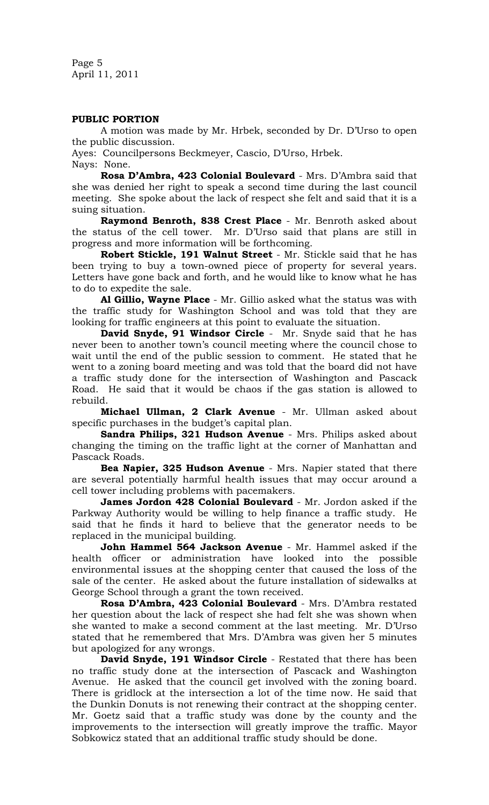Page 5 April 11, 2011

### **PUBLIC PORTION**

A motion was made by Mr. Hrbek, seconded by Dr. D'Urso to open the public discussion.

Ayes: Councilpersons Beckmeyer, Cascio, D'Urso, Hrbek.

Nays: None.

**Rosa D'Ambra, 423 Colonial Boulevard** - Mrs. D'Ambra said that she was denied her right to speak a second time during the last council meeting. She spoke about the lack of respect she felt and said that it is a suing situation.

**Raymond Benroth, 838 Crest Place** - Mr. Benroth asked about the status of the cell tower. Mr. D'Urso said that plans are still in progress and more information will be forthcoming.

**Robert Stickle, 191 Walnut Street** - Mr. Stickle said that he has been trying to buy a town-owned piece of property for several years. Letters have gone back and forth, and he would like to know what he has to do to expedite the sale.

**Al Gillio, Wayne Place** - Mr. Gillio asked what the status was with the traffic study for Washington School and was told that they are looking for traffic engineers at this point to evaluate the situation.

**David Snyde, 91 Windsor Circle** - Mr. Snyde said that he has never been to another town's council meeting where the council chose to wait until the end of the public session to comment. He stated that he went to a zoning board meeting and was told that the board did not have a traffic study done for the intersection of Washington and Pascack Road. He said that it would be chaos if the gas station is allowed to rebuild.

**Michael Ullman, 2 Clark Avenue** - Mr. Ullman asked about specific purchases in the budget's capital plan.

**Sandra Philips, 321 Hudson Avenue** - Mrs. Philips asked about changing the timing on the traffic light at the corner of Manhattan and Pascack Roads.

**Bea Napier, 325 Hudson Avenue** - Mrs. Napier stated that there are several potentially harmful health issues that may occur around a cell tower including problems with pacemakers.

**James Jordon 428 Colonial Boulevard** - Mr. Jordon asked if the Parkway Authority would be willing to help finance a traffic study. He said that he finds it hard to believe that the generator needs to be replaced in the municipal building.

**John Hammel 564 Jackson Avenue** - Mr. Hammel asked if the health officer or administration have looked into the possible environmental issues at the shopping center that caused the loss of the sale of the center. He asked about the future installation of sidewalks at George School through a grant the town received.

**Rosa D'Ambra, 423 Colonial Boulevard** - Mrs. D'Ambra restated her question about the lack of respect she had felt she was shown when she wanted to make a second comment at the last meeting. Mr. D'Urso stated that he remembered that Mrs. D'Ambra was given her 5 minutes but apologized for any wrongs.

**David Snyde, 191 Windsor Circle** - Restated that there has been no traffic study done at the intersection of Pascack and Washington Avenue. He asked that the council get involved with the zoning board. There is gridlock at the intersection a lot of the time now. He said that the Dunkin Donuts is not renewing their contract at the shopping center. Mr. Goetz said that a traffic study was done by the county and the improvements to the intersection will greatly improve the traffic. Mayor Sobkowicz stated that an additional traffic study should be done.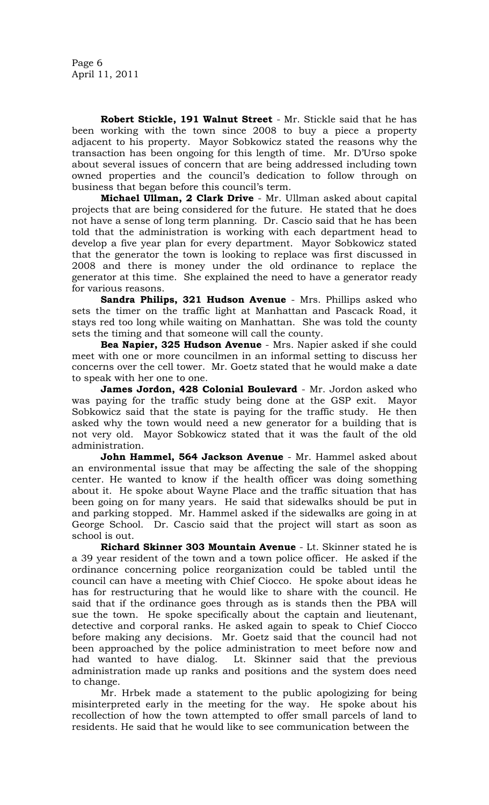**Robert Stickle, 191 Walnut Street** - Mr. Stickle said that he has been working with the town since 2008 to buy a piece a property adjacent to his property. Mayor Sobkowicz stated the reasons why the transaction has been ongoing for this length of time. Mr. D'Urso spoke about several issues of concern that are being addressed including town owned properties and the council's dedication to follow through on business that began before this council's term.

**Michael Ullman, 2 Clark Drive** - Mr. Ullman asked about capital projects that are being considered for the future. He stated that he does not have a sense of long term planning. Dr. Cascio said that he has been told that the administration is working with each department head to develop a five year plan for every department. Mayor Sobkowicz stated that the generator the town is looking to replace was first discussed in 2008 and there is money under the old ordinance to replace the generator at this time. She explained the need to have a generator ready for various reasons.

**Sandra Philips, 321 Hudson Avenue** - Mrs. Phillips asked who sets the timer on the traffic light at Manhattan and Pascack Road, it stays red too long while waiting on Manhattan. She was told the county sets the timing and that someone will call the county.

**Bea Napier, 325 Hudson Avenue** - Mrs. Napier asked if she could meet with one or more councilmen in an informal setting to discuss her concerns over the cell tower. Mr. Goetz stated that he would make a date to speak with her one to one.

**James Jordon, 428 Colonial Boulevard** - Mr. Jordon asked who was paying for the traffic study being done at the GSP exit. Mayor Sobkowicz said that the state is paying for the traffic study. He then asked why the town would need a new generator for a building that is not very old. Mayor Sobkowicz stated that it was the fault of the old administration.

**John Hammel, 564 Jackson Avenue** - Mr. Hammel asked about an environmental issue that may be affecting the sale of the shopping center. He wanted to know if the health officer was doing something about it. He spoke about Wayne Place and the traffic situation that has been going on for many years. He said that sidewalks should be put in and parking stopped. Mr. Hammel asked if the sidewalks are going in at George School. Dr. Cascio said that the project will start as soon as school is out.

**Richard Skinner 303 Mountain Avenue** - Lt. Skinner stated he is a 39 year resident of the town and a town police officer. He asked if the ordinance concerning police reorganization could be tabled until the council can have a meeting with Chief Ciocco. He spoke about ideas he has for restructuring that he would like to share with the council. He said that if the ordinance goes through as is stands then the PBA will sue the town. He spoke specifically about the captain and lieutenant, detective and corporal ranks. He asked again to speak to Chief Ciocco before making any decisions. Mr. Goetz said that the council had not been approached by the police administration to meet before now and had wanted to have dialog. Lt. Skinner said that the previous administration made up ranks and positions and the system does need to change.

Mr. Hrbek made a statement to the public apologizing for being misinterpreted early in the meeting for the way. He spoke about his recollection of how the town attempted to offer small parcels of land to residents. He said that he would like to see communication between the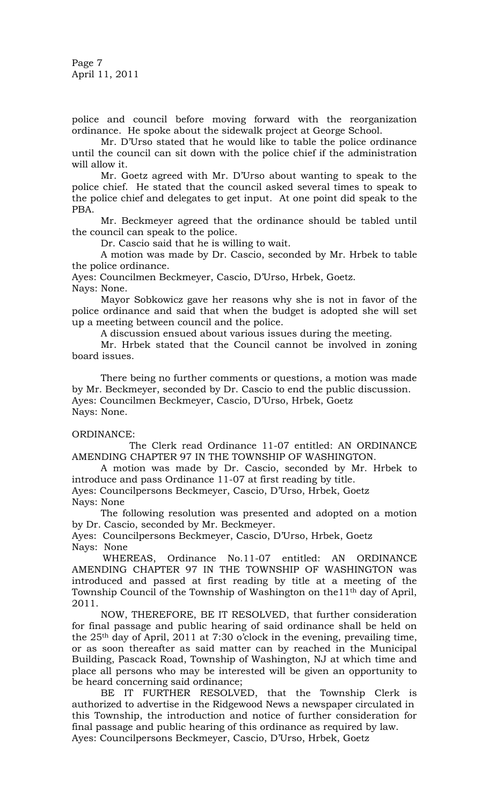Page 7 April 11, 2011

police and council before moving forward with the reorganization ordinance. He spoke about the sidewalk project at George School.

Mr. D'Urso stated that he would like to table the police ordinance until the council can sit down with the police chief if the administration will allow it.

Mr. Goetz agreed with Mr. D'Urso about wanting to speak to the police chief. He stated that the council asked several times to speak to the police chief and delegates to get input. At one point did speak to the PBA.

Mr. Beckmeyer agreed that the ordinance should be tabled until the council can speak to the police.

Dr. Cascio said that he is willing to wait.

A motion was made by Dr. Cascio, seconded by Mr. Hrbek to table the police ordinance.

Ayes: Councilmen Beckmeyer, Cascio, D'Urso, Hrbek, Goetz.

Nays: None.

Mayor Sobkowicz gave her reasons why she is not in favor of the police ordinance and said that when the budget is adopted she will set up a meeting between council and the police.

A discussion ensued about various issues during the meeting.

Mr. Hrbek stated that the Council cannot be involved in zoning board issues.

There being no further comments or questions, a motion was made by Mr. Beckmeyer, seconded by Dr. Cascio to end the public discussion. Ayes: Councilmen Beckmeyer, Cascio, D'Urso, Hrbek, Goetz Nays: None.

# ORDINANCE:

The Clerk read Ordinance 11-07 entitled: AN ORDINANCE AMENDING CHAPTER 97 IN THE TOWNSHIP OF WASHINGTON.

A motion was made by Dr. Cascio, seconded by Mr. Hrbek to introduce and pass Ordinance 11-07 at first reading by title.

Ayes: Councilpersons Beckmeyer, Cascio, D'Urso, Hrbek, Goetz Nays: None

The following resolution was presented and adopted on a motion by Dr. Cascio, seconded by Mr. Beckmeyer.

Ayes: Councilpersons Beckmeyer, Cascio, D'Urso, Hrbek, Goetz Nays: None

 WHEREAS, Ordinance No.11-07 entitled: AN ORDINANCE AMENDING CHAPTER 97 IN THE TOWNSHIP OF WASHINGTON was introduced and passed at first reading by title at a meeting of the Township Council of the Township of Washington on the 11<sup>th</sup> day of April, 2011.

NOW, THEREFORE, BE IT RESOLVED, that further consideration for final passage and public hearing of said ordinance shall be held on the 25th day of April, 2011 at 7:30 o'clock in the evening, prevailing time, or as soon thereafter as said matter can by reached in the Municipal Building, Pascack Road, Township of Washington, NJ at which time and place all persons who may be interested will be given an opportunity to be heard concerning said ordinance;

BE IT FURTHER RESOLVED, that the Township Clerk is authorized to advertise in the Ridgewood News a newspaper circulated in this Township, the introduction and notice of further consideration for final passage and public hearing of this ordinance as required by law. Ayes: Councilpersons Beckmeyer, Cascio, D'Urso, Hrbek, Goetz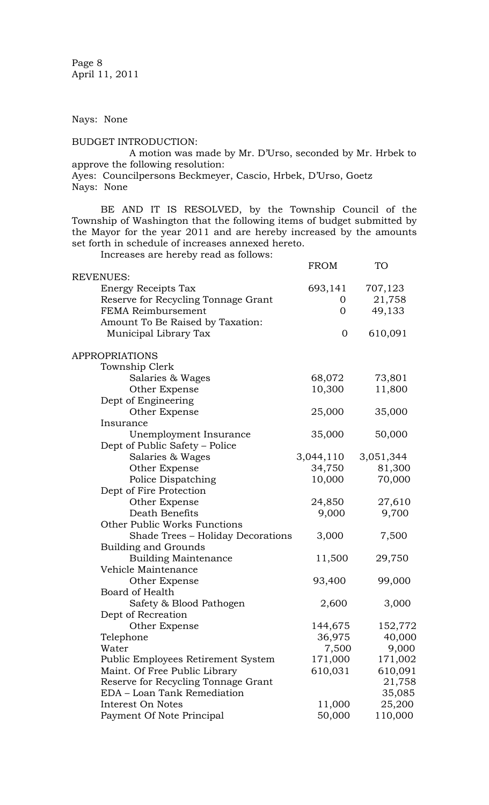Page 8 April 11, 2011

Nays: None

BUDGET INTRODUCTION:

A motion was made by Mr. D'Urso, seconded by Mr. Hrbek to approve the following resolution: Ayes: Councilpersons Beckmeyer, Cascio, Hrbek, D'Urso, Goetz

Nays: None

BE AND IT IS RESOLVED, by the Township Council of the Township of Washington that the following items of budget submitted by the Mayor for the year 2011 and are hereby increased by the amounts set forth in schedule of increases annexed hereto.

Increases are hereby read as follows:

|                                     | <b>FROM</b>    | <b>TO</b> |
|-------------------------------------|----------------|-----------|
| <b>REVENUES:</b>                    |                |           |
| Energy Receipts Tax                 | 693,141        | 707,123   |
| Reserve for Recycling Tonnage Grant | $\mathbf{0}$   | 21,758    |
| <b>FEMA Reimbursement</b>           | $\overline{0}$ | 49,133    |
| Amount To Be Raised by Taxation:    |                |           |
| Municipal Library Tax               | $\overline{0}$ | 610,091   |
|                                     |                |           |
| <b>APPROPRIATIONS</b>               |                |           |
| Township Clerk                      |                |           |
| Salaries & Wages                    | 68,072         | 73,801    |
| Other Expense                       | 10,300         | 11,800    |
| Dept of Engineering                 |                |           |
| Other Expense                       | 25,000         | 35,000    |
| Insurance                           |                |           |
| Unemployment Insurance              | 35,000         | 50,000    |
| Dept of Public Safety – Police      |                |           |
| Salaries & Wages                    | 3,044,110      | 3,051,344 |
| Other Expense                       | 34,750         | 81,300    |
| Police Dispatching                  | 10,000         | 70,000    |
| Dept of Fire Protection             |                |           |
| Other Expense                       | 24,850         | 27,610    |
| Death Benefits                      | 9,000          | 9,700     |
| <b>Other Public Works Functions</b> |                |           |
| Shade Trees - Holiday Decorations   | 3,000          | 7,500     |
| <b>Building and Grounds</b>         |                |           |
| <b>Building Maintenance</b>         | 11,500         | 29,750    |
| Vehicle Maintenance                 |                |           |
| Other Expense                       | 93,400         | 99,000    |
| Board of Health                     |                |           |
| Safety & Blood Pathogen             | 2,600          | 3,000     |
| Dept of Recreation                  |                |           |
| Other Expense                       | 144,675        | 152,772   |
| Telephone                           | 36,975         | 40,000    |
| Water                               | 7,500          | 9,000     |
| Public Employees Retirement System  | 171,000        | 171,002   |
| Maint. Of Free Public Library       | 610,031        | 610,091   |
| Reserve for Recycling Tonnage Grant |                | 21,758    |
| EDA - Loan Tank Remediation         |                | 35,085    |
| Interest On Notes                   | 11,000         | 25,200    |
| Payment Of Note Principal           | 50,000         | 110,000   |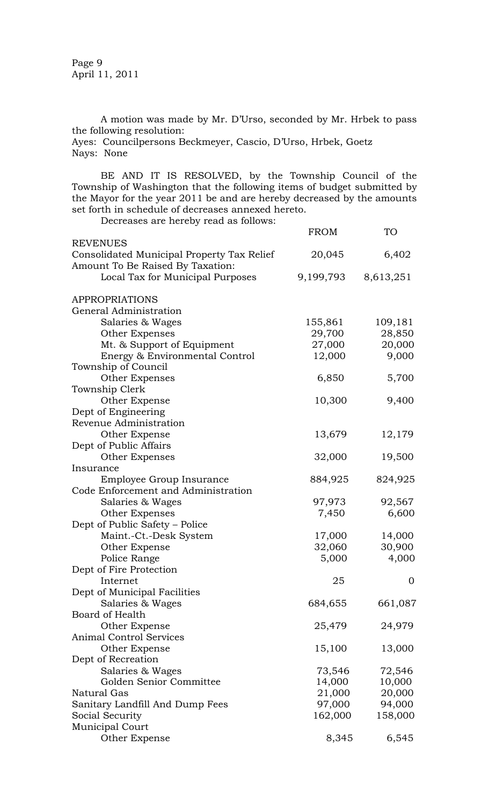Page 9 April 11, 2011

A motion was made by Mr. D'Urso, seconded by Mr. Hrbek to pass the following resolution:

Ayes: Councilpersons Beckmeyer, Cascio, D'Urso, Hrbek, Goetz Nays: None

BE AND IT IS RESOLVED, by the Township Council of the Township of Washington that the following items of budget submitted by the Mayor for the year 2011 be and are hereby decreased by the amounts set forth in schedule of decreases annexed hereto.

Decreases are hereby read as follows:

| Decreases are nereby read as follows.      | <b>FROM</b> | <b>TO</b>      |
|--------------------------------------------|-------------|----------------|
| <b>REVENUES</b>                            |             |                |
| Consolidated Municipal Property Tax Relief | 20,045      | 6,402          |
| Amount To Be Raised By Taxation:           |             |                |
| Local Tax for Municipal Purposes           | 9,199,793   | 8,613,251      |
| <b>APPROPRIATIONS</b>                      |             |                |
| General Administration                     |             |                |
| Salaries & Wages                           | 155,861     | 109,181        |
| Other Expenses                             | 29,700      | 28,850         |
| Mt. & Support of Equipment                 | 27,000      | 20,000         |
| Energy & Environmental Control             | 12,000      | 9,000          |
| Township of Council                        |             |                |
| Other Expenses                             | 6,850       | 5,700          |
| Township Clerk                             |             |                |
| Other Expense                              | 10,300      | 9,400          |
| Dept of Engineering                        |             |                |
| Revenue Administration                     |             |                |
| Other Expense                              | 13,679      | 12,179         |
| Dept of Public Affairs                     |             |                |
| Other Expenses                             | 32,000      | 19,500         |
| Insurance                                  |             |                |
| Employee Group Insurance                   | 884,925     | 824,925        |
| Code Enforcement and Administration        |             |                |
| Salaries & Wages                           | 97,973      | 92,567         |
| Other Expenses                             | 7,450       | 6,600          |
| Dept of Public Safety - Police             |             |                |
| Maint.-Ct.-Desk System                     | 17,000      | 14,000         |
| Other Expense                              | 32,060      | 30,900         |
| Police Range                               | 5,000       | 4,000          |
| Dept of Fire Protection                    |             |                |
| Internet                                   | 25          | $\overline{0}$ |
| Dept of Municipal Facilities               |             |                |
| Salaries & Wages                           | 684,655     | 661,087        |
| Board of Health                            |             |                |
| Other Expense                              | 25,479      | 24,979         |
| <b>Animal Control Services</b>             |             |                |
| Other Expense                              | 15,100      | 13,000         |
| Dept of Recreation                         |             |                |
| Salaries & Wages                           | 73,546      | 72,546         |
| Golden Senior Committee                    | 14,000      | 10,000         |
| <b>Natural Gas</b>                         | 21,000      | 20,000         |
| Sanitary Landfill And Dump Fees            | 97,000      | 94,000         |
| Social Security                            | 162,000     | 158,000        |
| Municipal Court                            |             |                |
| Other Expense                              | 8,345       | 6,545          |
|                                            |             |                |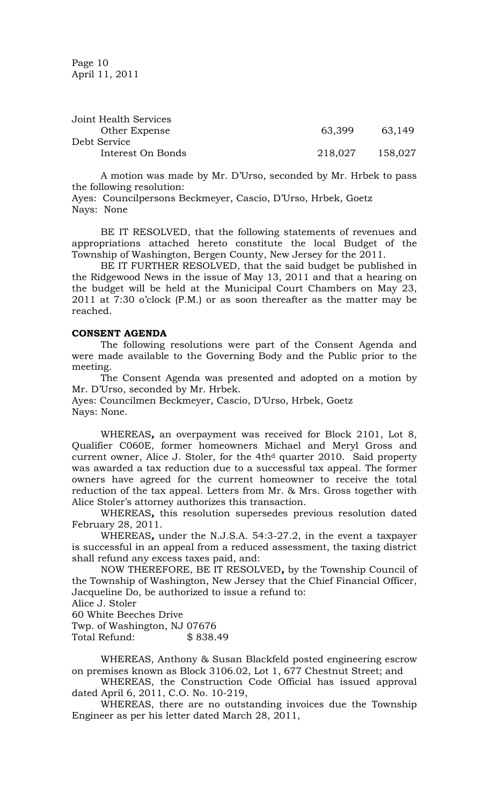Page 10 April 11, 2011

| Joint Health Services |         |         |
|-----------------------|---------|---------|
| Other Expense         | 63.399  | 63,149  |
| Debt Service          |         |         |
| Interest On Bonds     | 218,027 | 158,027 |

A motion was made by Mr. D'Urso, seconded by Mr. Hrbek to pass the following resolution:

Ayes: Councilpersons Beckmeyer, Cascio, D'Urso, Hrbek, Goetz Nays: None

BE IT RESOLVED, that the following statements of revenues and appropriations attached hereto constitute the local Budget of the Township of Washington, Bergen County, New Jersey for the 2011.

BE IT FURTHER RESOLVED, that the said budget be published in the Ridgewood News in the issue of May 13, 2011 and that a hearing on the budget will be held at the Municipal Court Chambers on May 23, 2011 at 7:30 o'clock (P.M.) or as soon thereafter as the matter may be reached.

#### **CONSENT AGENDA**

The following resolutions were part of the Consent Agenda and were made available to the Governing Body and the Public prior to the meeting.

The Consent Agenda was presented and adopted on a motion by Mr. D'Urso, seconded by Mr. Hrbek.

Ayes: Councilmen Beckmeyer, Cascio, D'Urso, Hrbek, Goetz Nays: None.

WHEREAS*,* an overpayment was received for Block 2101, Lot 8, Qualifier C060E, former homeowners Michael and Meryl Gross and current owner, Alice J. Stoler, for the 4th<sup>d</sup> quarter 2010. Said property was awarded a tax reduction due to a successful tax appeal. The former owners have agreed for the current homeowner to receive the total reduction of the tax appeal. Letters from Mr. & Mrs. Gross together with Alice Stoler's attorney authorizes this transaction.

WHEREAS*,* this resolution supersedes previous resolution dated February 28, 2011.

WHEREAS*,* under the N.J.S.A. 54:3-27.2, in the event a taxpayer is successful in an appeal from a reduced assessment, the taxing district shall refund any excess taxes paid, and:

NOW THEREFORE, BE IT RESOLVED*,* by the Township Council of the Township of Washington, New Jersey that the Chief Financial Officer, Jacqueline Do, be authorized to issue a refund to:

Alice J. Stoler

60 White Beeches Drive

Twp. of Washington, NJ 07676

Total Refund: \$ 838.49

WHEREAS, Anthony & Susan Blackfeld posted engineering escrow on premises known as Block 3106.02, Lot 1, 677 Chestnut Street; and

WHEREAS, the Construction Code Official has issued approval dated April 6, 2011, C.O. No. 10-219,

WHEREAS, there are no outstanding invoices due the Township Engineer as per his letter dated March 28, 2011,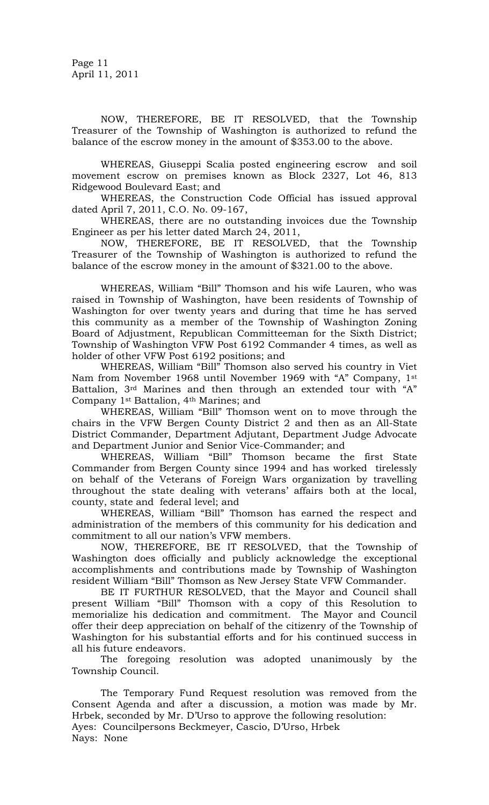NOW, THEREFORE, BE IT RESOLVED, that the Township Treasurer of the Township of Washington is authorized to refund the balance of the escrow money in the amount of \$353.00 to the above.

WHEREAS, Giuseppi Scalia posted engineering escrow and soil movement escrow on premises known as Block 2327, Lot 46, 813 Ridgewood Boulevard East; and

WHEREAS, the Construction Code Official has issued approval dated April 7, 2011, C.O. No. 09-167,

WHEREAS, there are no outstanding invoices due the Township Engineer as per his letter dated March 24, 2011,

NOW, THEREFORE, BE IT RESOLVED, that the Township Treasurer of the Township of Washington is authorized to refund the balance of the escrow money in the amount of \$321.00 to the above.

WHEREAS, William "Bill" Thomson and his wife Lauren, who was raised in Township of Washington, have been residents of Township of Washington for over twenty years and during that time he has served this community as a member of the Township of Washington Zoning Board of Adjustment, Republican Committeeman for the Sixth District; Township of Washington VFW Post 6192 Commander 4 times, as well as holder of other VFW Post 6192 positions; and

WHEREAS, William "Bill" Thomson also served his country in Viet Nam from November 1968 until November 1969 with "A" Company, 1st Battalion, 3rd Marines and then through an extended tour with "A" Company 1st Battalion, 4th Marines; and

WHEREAS, William "Bill" Thomson went on to move through the chairs in the VFW Bergen County District 2 and then as an All-State District Commander, Department Adjutant, Department Judge Advocate and Department Junior and Senior Vice-Commander; and

WHEREAS, William "Bill" Thomson became the first State Commander from Bergen County since 1994 and has worked tirelessly on behalf of the Veterans of Foreign Wars organization by travelling throughout the state dealing with veterans' affairs both at the local, county, state and federal level; and

WHEREAS, William "Bill" Thomson has earned the respect and administration of the members of this community for his dedication and commitment to all our nation's VFW members.

NOW, THEREFORE, BE IT RESOLVED, that the Township of Washington does officially and publicly acknowledge the exceptional accomplishments and contributions made by Township of Washington resident William "Bill" Thomson as New Jersey State VFW Commander.

BE IT FURTHUR RESOLVED, that the Mayor and Council shall present William "Bill" Thomson with a copy of this Resolution to memorialize his dedication and commitment. The Mayor and Council offer their deep appreciation on behalf of the citizenry of the Township of Washington for his substantial efforts and for his continued success in all his future endeavors.

The foregoing resolution was adopted unanimously by the Township Council.

The Temporary Fund Request resolution was removed from the Consent Agenda and after a discussion, a motion was made by Mr. Hrbek, seconded by Mr. D'Urso to approve the following resolution: Ayes: Councilpersons Beckmeyer, Cascio, D'Urso, Hrbek Nays: None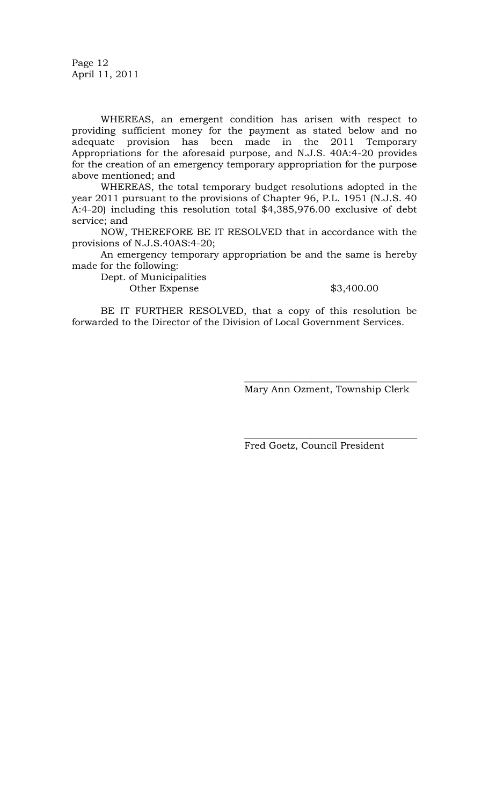Page 12 April 11, 2011

WHEREAS, an emergent condition has arisen with respect to providing sufficient money for the payment as stated below and no adequate provision has been made in the 2011 Temporary Appropriations for the aforesaid purpose, and N.J.S. 40A:4-20 provides for the creation of an emergency temporary appropriation for the purpose above mentioned; and

WHEREAS, the total temporary budget resolutions adopted in the year 2011 pursuant to the provisions of Chapter 96, P.L. 1951 (N.J.S. 40 A:4-20) including this resolution total \$4,385,976.00 exclusive of debt service; and

NOW, THEREFORE BE IT RESOLVED that in accordance with the provisions of N.J.S.40AS:4-20;

An emergency temporary appropriation be and the same is hereby made for the following:

Dept. of Municipalities Other Expense \$3,400.00

BE IT FURTHER RESOLVED, that a copy of this resolution be forwarded to the Director of the Division of Local Government Services.

> $\overline{\phantom{a}}$  , where the contract of the contract of the contract of the contract of the contract of the contract of the contract of the contract of the contract of the contract of the contract of the contract of the contr Mary Ann Ozment, Township Clerk

> $\overline{\phantom{a}}$  , where the contract of the contract of the contract of the contract of the contract of the contract of the contract of the contract of the contract of the contract of the contract of the contract of the contr

Fred Goetz, Council President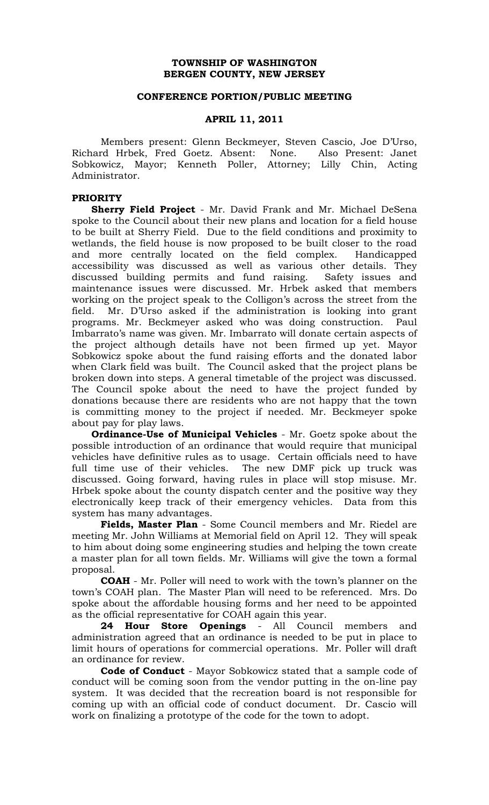## **TOWNSHIP OF WASHINGTON BERGEN COUNTY, NEW JERSEY**

### **CONFERENCE PORTION/PUBLIC MEETING**

## **APRIL 11, 2011**

Members present: Glenn Beckmeyer, Steven Cascio, Joe D'Urso, Richard Hrbek, Fred Goetz. Absent: None. Also Present: Janet Sobkowicz, Mayor; Kenneth Poller, Attorney; Lilly Chin, Acting Administrator.

### **PRIORITY**

 **Sherry Field Project** - Mr. David Frank and Mr. Michael DeSena spoke to the Council about their new plans and location for a field house to be built at Sherry Field. Due to the field conditions and proximity to wetlands, the field house is now proposed to be built closer to the road and more centrally located on the field complex. Handicapped accessibility was discussed as well as various other details. They discussed building permits and fund raising. Safety issues and maintenance issues were discussed. Mr. Hrbek asked that members working on the project speak to the Colligon's across the street from the field. Mr. D'Urso asked if the administration is looking into grant programs. Mr. Beckmeyer asked who was doing construction. Paul Imbarrato's name was given. Mr. Imbarrato will donate certain aspects of the project although details have not been firmed up yet. Mayor Sobkowicz spoke about the fund raising efforts and the donated labor when Clark field was built. The Council asked that the project plans be broken down into steps. A general timetable of the project was discussed. The Council spoke about the need to have the project funded by donations because there are residents who are not happy that the town is committing money to the project if needed. Mr. Beckmeyer spoke about pay for play laws.

 **Ordinance-Use of Municipal Vehicles** - Mr. Goetz spoke about the possible introduction of an ordinance that would require that municipal vehicles have definitive rules as to usage. Certain officials need to have full time use of their vehicles. The new DMF pick up truck was discussed. Going forward, having rules in place will stop misuse. Mr. Hrbek spoke about the county dispatch center and the positive way they electronically keep track of their emergency vehicles. Data from this system has many advantages.

**Fields, Master Plan** - Some Council members and Mr. Riedel are meeting Mr. John Williams at Memorial field on April 12. They will speak to him about doing some engineering studies and helping the town create a master plan for all town fields. Mr. Williams will give the town a formal proposal.

**COAH** - Mr. Poller will need to work with the town's planner on the town's COAH plan. The Master Plan will need to be referenced. Mrs. Do spoke about the affordable housing forms and her need to be appointed as the official representative for COAH again this year.

**24 Hour Store Openings** - All Council members and administration agreed that an ordinance is needed to be put in place to limit hours of operations for commercial operations. Mr. Poller will draft an ordinance for review.

**Code of Conduct** - Mayor Sobkowicz stated that a sample code of conduct will be coming soon from the vendor putting in the on-line pay system. It was decided that the recreation board is not responsible for coming up with an official code of conduct document. Dr. Cascio will work on finalizing a prototype of the code for the town to adopt.